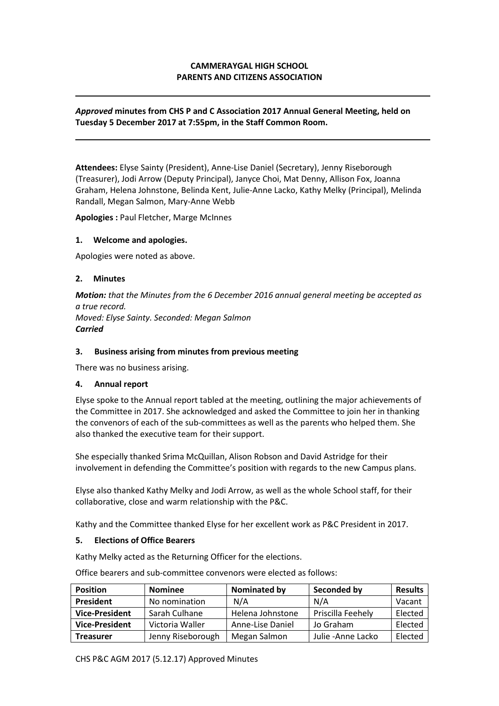## **CAMMERAYGAL HIGH SCHOOL PARENTS AND CITIZENS ASSOCIATION**

### *Approved* **minutes from CHS P and C Association 2017 Annual General Meeting, held on Tuesday 5 December 2017 at 7:55pm, in the Staff Common Room.**

**Attendees:** Elyse Sainty (President), Anne-Lise Daniel (Secretary), Jenny Riseborough (Treasurer), Jodi Arrow (Deputy Principal), Janyce Choi, Mat Denny, Allison Fox, Joanna Graham, Helena Johnstone, Belinda Kent, Julie-Anne Lacko, Kathy Melky (Principal), Melinda Randall, Megan Salmon, Mary-Anne Webb

**Apologies :** Paul Fletcher, Marge McInnes

#### **1. Welcome and apologies.**

Apologies were noted as above.

#### **2. Minutes**

*Motion: that the Minutes from the 6 December 2016 annual general meeting be accepted as a true record. Moved: Elyse Sainty. Seconded: Megan Salmon Carried*

#### **3. Business arising from minutes from previous meeting**

There was no business arising.

### **4. Annual report**

Elyse spoke to the Annual report tabled at the meeting, outlining the major achievements of the Committee in 2017. She acknowledged and asked the Committee to join her in thanking the convenors of each of the sub-committees as well as the parents who helped them. She also thanked the executive team for their support.

She especially thanked Srima McQuillan, Alison Robson and David Astridge for their involvement in defending the Committee's position with regards to the new Campus plans.

Elyse also thanked Kathy Melky and Jodi Arrow, as well as the whole School staff, for their collaborative, close and warm relationship with the P&C.

Kathy and the Committee thanked Elyse for her excellent work as P&C President in 2017.

#### **5. Elections of Office Bearers**

Kathy Melky acted as the Returning Officer for the elections.

**Position Nominee Nominated by Seconded by Results President** | No nomination | N/A | N/A | Vacant **Vice-President** Sarah Culhane | Helena Johnstone | Priscilla Feehely | Elected **Vice-President** Victoria Waller Anne-Lise Daniel Jo Graham | Elected **Treasurer** Jenny Riseborough | Megan Salmon | Julie -Anne Lacko | Elected

Office bearers and sub-committee convenors were elected as follows: